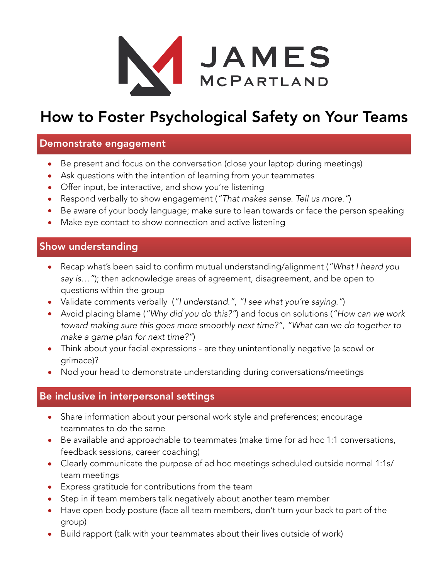

# How to Foster Psychological Safety on Your Teams

## Demonstrate engagement

- Be present and focus on the conversation (close your laptop during meetings)
- Ask questions with the intention of learning from your teammates
- Offer input, be interactive, and show you're listening
- Respond verbally to show engagement (*"That makes sense. Tell us more."*)
- Be aware of your body language; make sure to lean towards or face the person speaking
- Make eye contact to show connection and active listening

# Show understanding

- Recap what's been said to confirm mutual understanding/alignment (*"What I heard you say is…"*); then acknowledge areas of agreement, disagreement, and be open to questions within the group
- Validate comments verbally (*"I understand.", "I see what you're saying."*)
- Avoid placing blame (*"Why did you do this?"*) and focus on solutions (*"How can we work toward making sure this goes more smoothly next time?", "What can we do together to make a game plan for next time?"*)
- Think about your facial expressions are they unintentionally negative (a scowl or grimace)?
- Nod your head to demonstrate understanding during conversations/meetings

## Be inclusive in interpersonal settings

- Share information about your personal work style and preferences; encourage teammates to do the same
- Be available and approachable to teammates (make time for ad hoc 1:1 conversations, feedback sessions, career coaching)
- Clearly communicate the purpose of ad hoc meetings scheduled outside normal 1:1s/ team meetings
- Express gratitude for contributions from the team
- Step in if team members talk negatively about another team member
- Have open body posture (face all team members, don't turn your back to part of the group)
- Build rapport (talk with your teammates about their lives outside of work)